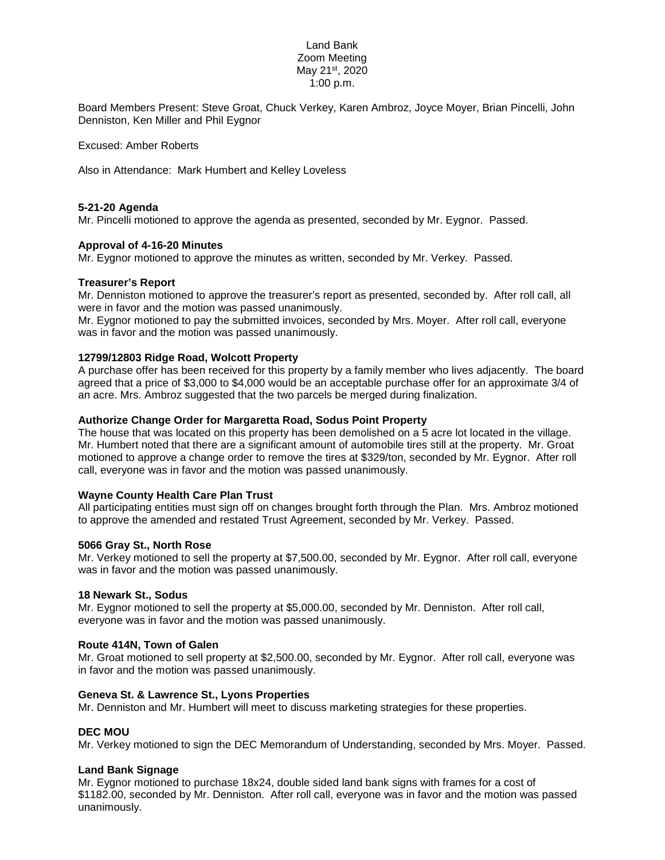# Land Bank Zoom Meeting May 21st, 2020 1:00 p.m.

Board Members Present: Steve Groat, Chuck Verkey, Karen Ambroz, Joyce Moyer, Brian Pincelli, John Denniston, Ken Miller and Phil Eygnor

Excused: Amber Roberts

Also in Attendance: Mark Humbert and Kelley Loveless

# **5-21-20 Agenda**

Mr. Pincelli motioned to approve the agenda as presented, seconded by Mr. Eygnor. Passed.

# **Approval of 4-16-20 Minutes**

Mr. Eygnor motioned to approve the minutes as written, seconded by Mr. Verkey. Passed.

### **Treasurer's Report**

Mr. Denniston motioned to approve the treasurer's report as presented, seconded by. After roll call, all were in favor and the motion was passed unanimously.

Mr. Eygnor motioned to pay the submitted invoices, seconded by Mrs. Moyer. After roll call, everyone was in favor and the motion was passed unanimously.

### **12799/12803 Ridge Road, Wolcott Property**

A purchase offer has been received for this property by a family member who lives adjacently. The board agreed that a price of \$3,000 to \$4,000 would be an acceptable purchase offer for an approximate 3/4 of an acre. Mrs. Ambroz suggested that the two parcels be merged during finalization.

### **Authorize Change Order for Margaretta Road, Sodus Point Property**

The house that was located on this property has been demolished on a 5 acre lot located in the village. Mr. Humbert noted that there are a significant amount of automobile tires still at the property. Mr. Groat motioned to approve a change order to remove the tires at \$329/ton, seconded by Mr. Eygnor. After roll call, everyone was in favor and the motion was passed unanimously.

#### **Wayne County Health Care Plan Trust**

All participating entities must sign off on changes brought forth through the Plan. Mrs. Ambroz motioned to approve the amended and restated Trust Agreement, seconded by Mr. Verkey. Passed.

#### **5066 Gray St., North Rose**

Mr. Verkey motioned to sell the property at \$7,500.00, seconded by Mr. Eygnor. After roll call, everyone was in favor and the motion was passed unanimously.

#### **18 Newark St., Sodus**

Mr. Eygnor motioned to sell the property at \$5,000.00, seconded by Mr. Denniston. After roll call, everyone was in favor and the motion was passed unanimously.

# **Route 414N, Town of Galen**

Mr. Groat motioned to sell property at \$2,500.00, seconded by Mr. Eygnor. After roll call, everyone was in favor and the motion was passed unanimously.

# **Geneva St. & Lawrence St., Lyons Properties**

Mr. Denniston and Mr. Humbert will meet to discuss marketing strategies for these properties.

#### **DEC MOU**

Mr. Verkey motioned to sign the DEC Memorandum of Understanding, seconded by Mrs. Moyer. Passed.

# **Land Bank Signage**

Mr. Eygnor motioned to purchase 18x24, double sided land bank signs with frames for a cost of \$1182.00, seconded by Mr. Denniston. After roll call, everyone was in favor and the motion was passed unanimously.